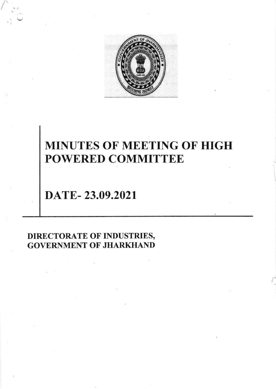

# MINUTES OF MEETING OF HIGH POWERED COMMITTEE

DATE- 23.09.2021

DIRECTORATE OF INDUSTRIES, GOVERNMENT OF JHARKHAND